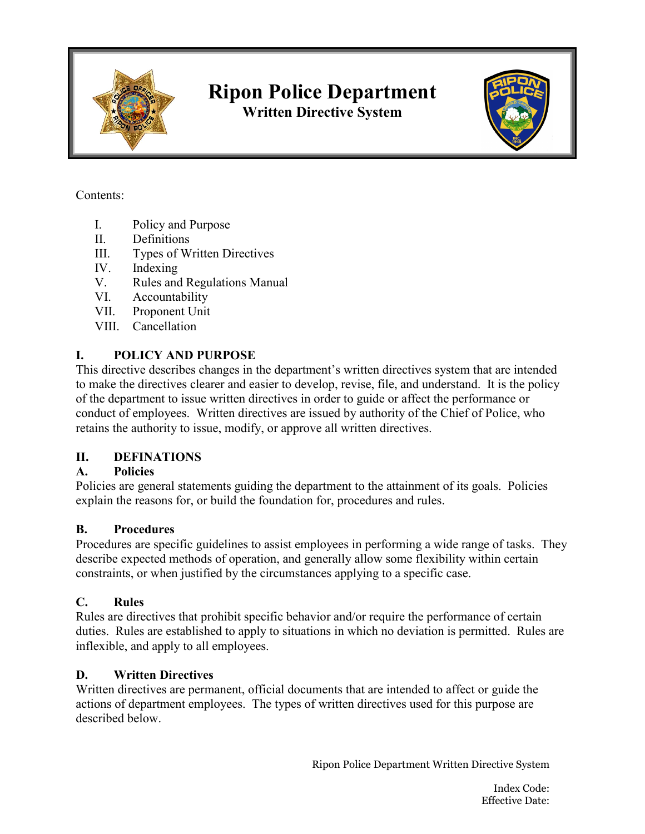

# **Ripon Police Department**

**Written Directive System**



#### Contents:

- I. Policy and Purpose
- II. Definitions
- III. Types of Written Directives
- IV. Indexing
- V. Rules and Regulations Manual
- VI. Accountability
- VII. Proponent Unit
- VIII. Cancellation

# **I. POLICY AND PURPOSE**

This directive describes changes in the department's written directives system that are intended to make the directives clearer and easier to develop, revise, file, and understand. It is the policy of the department to issue written directives in order to guide or affect the performance or conduct of employees. Written directives are issued by authority of the Chief of Police, who retains the authority to issue, modify, or approve all written directives.

# **II. DEFINATIONS**

# **A. Policies**

Policies are general statements guiding the department to the attainment of its goals. Policies explain the reasons for, or build the foundation for, procedures and rules.

# **B. Procedures**

Procedures are specific guidelines to assist employees in performing a wide range of tasks. They describe expected methods of operation, and generally allow some flexibility within certain constraints, or when justified by the circumstances applying to a specific case.

#### **C. Rules**

Rules are directives that prohibit specific behavior and/or require the performance of certain duties. Rules are established to apply to situations in which no deviation is permitted. Rules are inflexible, and apply to all employees.

# **D. Written Directives**

Written directives are permanent, official documents that are intended to affect or guide the actions of department employees. The types of written directives used for this purpose are described below.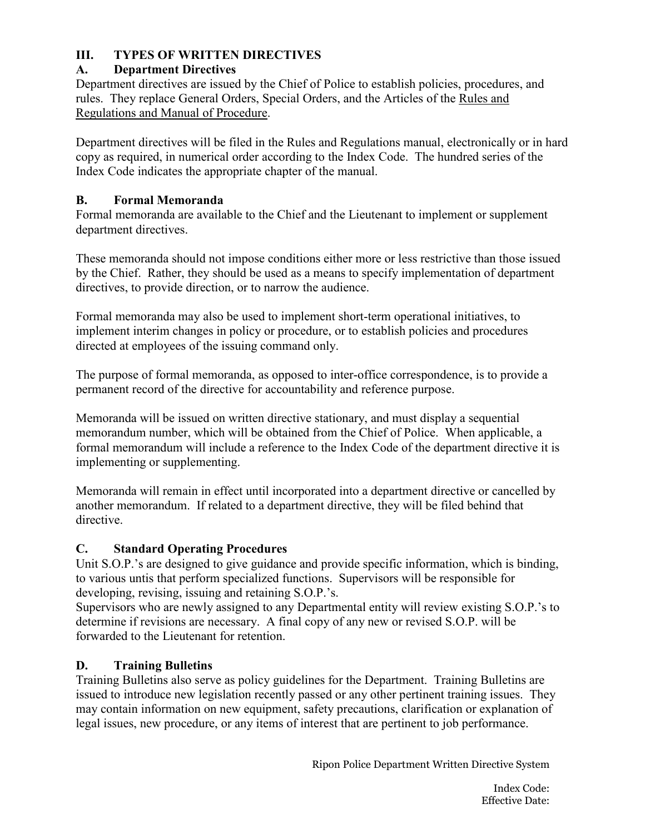### **III. TYPES OF WRITTEN DIRECTIVES**

### **A. Department Directives**

Department directives are issued by the Chief of Police to establish policies, procedures, and rules. They replace General Orders, Special Orders, and the Articles of the Rules and Regulations and Manual of Procedure.

Department directives will be filed in the Rules and Regulations manual, electronically or in hard copy as required, in numerical order according to the Index Code. The hundred series of the Index Code indicates the appropriate chapter of the manual.

#### **B. Formal Memoranda**

Formal memoranda are available to the Chief and the Lieutenant to implement or supplement department directives.

These memoranda should not impose conditions either more or less restrictive than those issued by the Chief. Rather, they should be used as a means to specify implementation of department directives, to provide direction, or to narrow the audience.

Formal memoranda may also be used to implement short-term operational initiatives, to implement interim changes in policy or procedure, or to establish policies and procedures directed at employees of the issuing command only.

The purpose of formal memoranda, as opposed to inter-office correspondence, is to provide a permanent record of the directive for accountability and reference purpose.

Memoranda will be issued on written directive stationary, and must display a sequential memorandum number, which will be obtained from the Chief of Police. When applicable, a formal memorandum will include a reference to the Index Code of the department directive it is implementing or supplementing.

Memoranda will remain in effect until incorporated into a department directive or cancelled by another memorandum. If related to a department directive, they will be filed behind that directive.

#### **C. Standard Operating Procedures**

Unit S.O.P.'s are designed to give guidance and provide specific information, which is binding, to various untis that perform specialized functions. Supervisors will be responsible for developing, revising, issuing and retaining S.O.P.'s.

Supervisors who are newly assigned to any Departmental entity will review existing S.O.P.'s to determine if revisions are necessary. A final copy of any new or revised S.O.P. will be forwarded to the Lieutenant for retention.

#### **D. Training Bulletins**

Training Bulletins also serve as policy guidelines for the Department. Training Bulletins are issued to introduce new legislation recently passed or any other pertinent training issues. They may contain information on new equipment, safety precautions, clarification or explanation of legal issues, new procedure, or any items of interest that are pertinent to job performance.